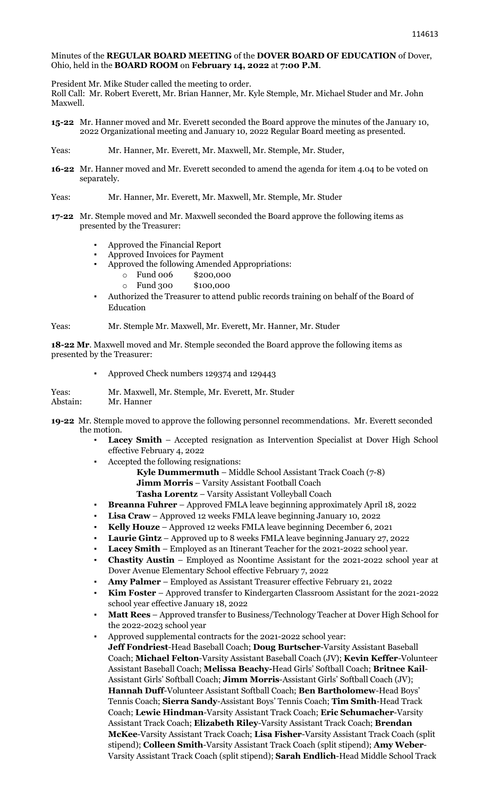## Minutes of the **REGULAR BOARD MEETING** of the **DOVER BOARD OF EDUCATION** of Dover, Ohio, held in the **BOARD ROOM** on **February 14, 2022** at **7:00 P.M**.

President Mr. Mike Studer called the meeting to order.

Roll Call: Mr. Robert Everett, Mr. Brian Hanner, Mr. Kyle Stemple, Mr. Michael Studer and Mr. John Maxwell.

- **15-22** Mr. Hanner moved and Mr. Everett seconded the Board approve the minutes of the January 10, 2022 Organizational meeting and January 10, 2022 Regular Board meeting as presented.
- Yeas: Mr. Hanner, Mr. Everett, Mr. Maxwell, Mr. Stemple, Mr. Studer,
- **16-22** Mr. Hanner moved and Mr. Everett seconded to amend the agenda for item 4.04 to be voted on separately.
- Yeas: Mr. Hanner, Mr. Everett, Mr. Maxwell, Mr. Stemple, Mr. Studer
- **17-22** Mr. Stemple moved and Mr. Maxwell seconded the Board approve the following items as presented by the Treasurer:
	- Approved the Financial Report
	- Approved Invoices for Payment
		- Approved the following Amended Appropriations:
			- o Fund 006 \$200,000
			- o Fund 300 \$100,000
	- Authorized the Treasurer to attend public records training on behalf of the Board of Education

Yeas: Mr. Stemple Mr. Maxwell, Mr. Everett, Mr. Hanner, Mr. Studer

**18-22 Mr**. Maxwell moved and Mr. Stemple seconded the Board approve the following items as presented by the Treasurer:

Approved Check numbers 129374 and 129443

Yeas: Mr. Maxwell, Mr. Stemple, Mr. Everett, Mr. Studer<br>Abstain: Mr. Hanner Mr. Hanner

- **19-22** Mr. Stemple moved to approve the following personnel recommendations. Mr. Everett seconded the motion.
	- Lacey Smith Accepted resignation as Intervention Specialist at Dover High School effective February 4, 2022
	- Accepted the following resignations:

**Kyle Dummermuth** – Middle School Assistant Track Coach (7-8) **Jimm Morris** – Varsity Assistant Football Coach

**Tasha Lorentz** – Varsity Assistant Volleyball Coach

- **Breanna Fuhrer** Approved FMLA leave beginning approximately April 18, 2022
- Lisa Craw Approved 12 weeks FMLA leave beginning January 10, 2022
- **Kelly Houze** Approved 12 weeks FMLA leave beginning December 6, 2021
- Laurie Gintz Approved up to 8 weeks FMLA leave beginning January 27, 2022
- Lacey Smith Employed as an Itinerant Teacher for the 2021-2022 school year.
- **Chastity Austin** Employed as Noontime Assistant for the 2021-2022 school year at Dover Avenue Elementary School effective February 7, 2022
- **Amy Palmer** Employed as Assistant Treasurer effective February 21, 2022
- Kim Foster Approved transfer to Kindergarten Classroom Assistant for the 2021-2022 school year effective January 18, 2022
- **Matt Rees** Approved transfer to Business/Technology Teacher at Dover High School for the 2022-2023 school year
- Approved supplemental contracts for the 2021-2022 school year: **Jeff Fondriest**-Head Baseball Coach; **Doug Burtscher**-Varsity Assistant Baseball Coach; **Michael Felton**-Varsity Assistant Baseball Coach (JV); **Kevin Keffer**-Volunteer Assistant Baseball Coach; **Melissa Beachy-**Head Girls' Softball Coach; **Britnee Kail**-Assistant Girls' Softball Coach; **Jimm Morris**-Assistant Girls' Softball Coach (JV); **Hannah Duff**-Volunteer Assistant Softball Coach; **Ben Bartholomew**-Head Boys' Tennis Coach; **Sierra Sandy**-Assistant Boys' Tennis Coach; **Tim Smith**-Head Track Coach; **Lewie Hindman**-Varsity Assistant Track Coach; **Eric Schumacher**-Varsity Assistant Track Coach; **Elizabeth Riley**-Varsity Assistant Track Coach; **Brendan McKee**-Varsity Assistant Track Coach; **Lisa Fisher**-Varsity Assistant Track Coach (split stipend); **Colleen Smith**-Varsity Assistant Track Coach (split stipend); **Amy Weber**-Varsity Assistant Track Coach (split stipend); **Sarah Endlich**-Head Middle School Track